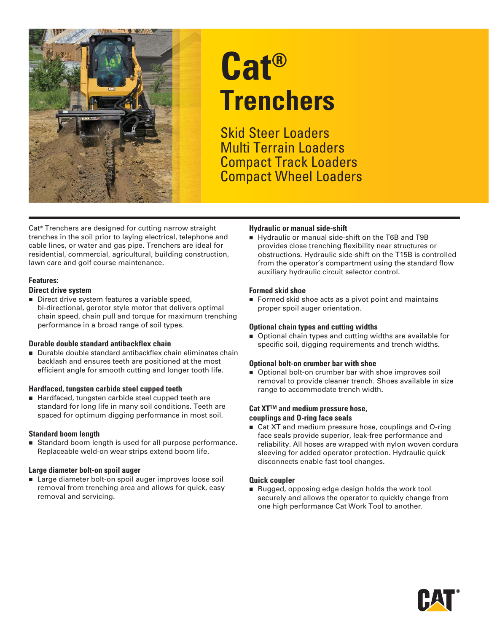

# **Cat® Trenchers**

Skid Steer Loaders Multi Terrain Loaders Compact Track Loaders Compact Wheel Loaders

Cat® Trenchers are designed for cutting narrow straight trenches in the soil prior to laying electrical, telephone and cable lines, or water and gas pipe. Trenchers are ideal for residential, commercial, agricultural, building construction, lawn care and golf course maintenance.

#### **Features:**

#### **Direct drive system**

Direct drive system features a variable speed, bi-directional, gerotor style motor that delivers optimal chain speed, chain pull and torque for maximum trenching performance in a broad range of soil types.

#### **Durable double standard antibackflex chain**

■ Durable double standard antibackflex chain eliminates chain backlash and ensures teeth are positioned at the most efficient angle for smooth cutting and longer tooth life.

#### **Hardfaced, tungsten carbide steel cupped teeth**

■ Hardfaced, tungsten carbide steel cupped teeth are standard for long life in many soil conditions. Teeth are spaced for optimum digging performance in most soil.

#### **Standard boom length**

■ Standard boom length is used for all-purpose performance. Replaceable weld-on wear strips extend boom life.

#### **Large diameter bolt-on spoil auger**

■ Large diameter bolt-on spoil auger improves loose soil removal from trenching area and allows for quick, easy removal and servicing.

#### **Hydraulic or manual side-shift**

Hydraulic or manual side-shift on the T6B and T9B provides close trenching flexibility near structures or obstructions. Hydraulic side-shift on the T15B is controlled from the operator's compartment using the standard flow auxiliary hydraulic circuit selector control.

#### **Formed skid shoe**

Formed skid shoe acts as a pivot point and maintains proper spoil auger orientation.

#### **Optional chain types and cutting widths**

■ Optional chain types and cutting widths are available for specific soil, digging requirements and trench widths.

#### **Optional bolt-on crumber bar with shoe**

**Department Desity Optional bolt-on crumber bar with shoe improves soil** removal to provide cleaner trench. Shoes available in size range to accommodate trench width.

#### **Cat XT™ and medium pressure hose, couplings and O-ring face seals**

■ Cat XT and medium pressure hose, couplings and O-ring face seals provide superior, leak-free performance and reliability. All hoses are wrapped with nylon woven cordura sleeving for added operator protection. Hydraulic quick disconnects enable fast tool changes.

#### **Quick coupler**

Rugged, opposing edge design holds the work tool securely and allows the operator to quickly change from one high performance Cat Work Tool to another.

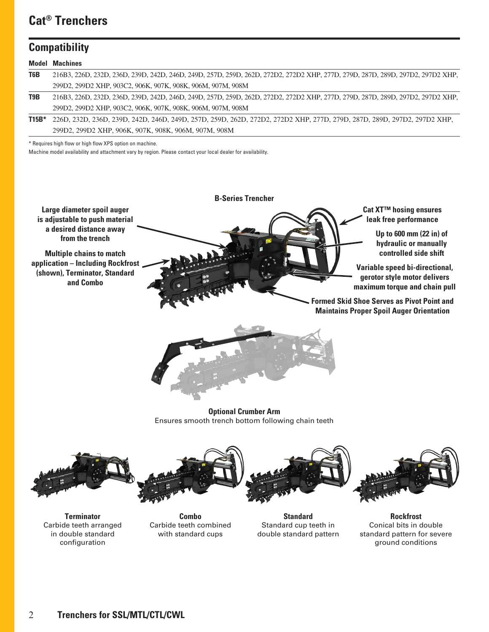## **Cat® Trenchers**

### **Compatibility**

|                  | <b>Model Machines</b>                                                                                                          |  |  |  |  |  |  |  |
|------------------|--------------------------------------------------------------------------------------------------------------------------------|--|--|--|--|--|--|--|
| T <sub>6</sub> B | 216B3, 226D, 232D, 236D, 239D, 242D, 246D, 249D, 257D, 259D, 262D, 272D2, 272D2 XHP, 277D, 279D, 287D, 289D, 297D2, 297D2 XHP, |  |  |  |  |  |  |  |
|                  | 299D2, 299D2 ХНР, 903C2, 906К, 907К, 908К, 906М, 907М, 908М                                                                    |  |  |  |  |  |  |  |
| T9B              | 216B3, 226D, 232D, 236D, 239D, 242D, 246D, 249D, 257D, 259D, 262D, 272D2, 272D2 XHP, 277D, 279D, 287D, 289D, 297D2, 297D2 XHP, |  |  |  |  |  |  |  |
|                  | 299D2, 299D2 ХНР, 903C2, 906К, 907К, 908К, 906М, 907М, 908М                                                                    |  |  |  |  |  |  |  |
| $T15B*$          | 226D, 232D, 236D, 239D, 242D, 246D, 249D, 257D, 259D, 262D, 272D2, 272D2 XHP, 277D, 279D, 287D, 289D, 297D2, 297D2 XHP,        |  |  |  |  |  |  |  |
|                  | 299D2, 299D2 ХНР, 906К, 907К, 908К, 906М, 907М, 908М                                                                           |  |  |  |  |  |  |  |

\* Requires high flow or high flow XPS option on machine.

Machine model availability and attachment vary by region. Please contact your local dealer for availability.

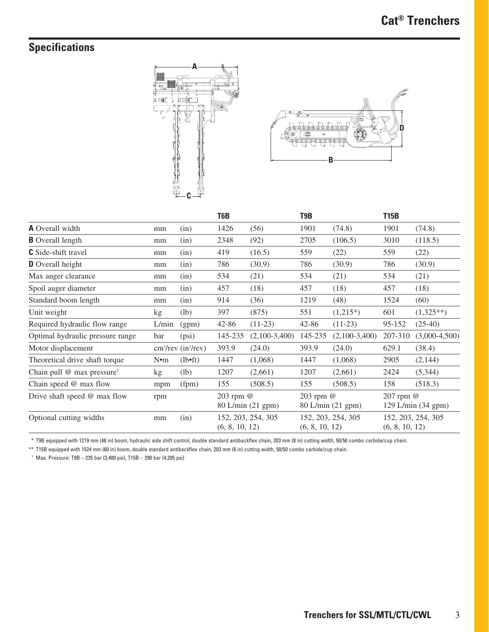# **Specifications**





|                                        |                 |                     | T <sub>6</sub> B                     |                 | T <sub>9</sub> B                     |                 | <b>T15B</b>                          |                 |
|----------------------------------------|-----------------|---------------------|--------------------------------------|-----------------|--------------------------------------|-----------------|--------------------------------------|-----------------|
| <b>A</b> Overall width                 | mm              | (in)                | 1426                                 | (56)            | 1901                                 | (74.8)          | 1901                                 | (74.8)          |
| <b>B</b> Overall length                | mm              | (in)                | 2348                                 | (92)            | 2705                                 | (106.5)         | 3010                                 | (118.5)         |
| <b>C</b> Side-shift travel             | mm              | (in)                | 419                                  | (16.5)          | 559                                  | (22)            | 559                                  | (22)            |
| <b>D</b> Overall height                | mm              | (in)                | 786                                  | (30.9)          | 786                                  | (30.9)          | 786                                  | (30.9)          |
| Max auger clearance                    | mm              | (in)                | 534                                  | (21)            | 534                                  | (21)            | 534                                  | (21)            |
| Spoil auger diameter                   | mm              | (in)                | 457                                  | (18)            | 457                                  | (18)            | 457                                  | (18)            |
| Standard boom length                   | mm              | (in)                | 914                                  | (36)            | 1219                                 | (48)            | 1524                                 | (60)            |
| Unit weight                            | kg              | (lb)                | 397                                  | (875)           | 551                                  | $(1,215*)$      | 601                                  | $(1,325**)$     |
| Required hydraulic flow range          | L/min           | (gpm)               | 42-86                                | $(11-23)$       | $42 - 86$                            | $(11-23)$       | 95-152                               | $(25-40)$       |
| Optimal hydraulic pressure range       | bar             | (psi)               | 145-235                              | $(2,100-3,400)$ | 145-235                              | $(2,100-3,400)$ | 207-310                              | $(3,000-4,500)$ |
| Motor displacement                     |                 | $cm3/rev (in3/rev)$ | 393.9                                | (24.0)          | 393.9                                | (24.0)          | 629.1                                | (38.4)          |
| Theoretical drive shaft torque         | N <sub>em</sub> | $(lb \cdot ft)$     | 1447                                 | (1,068)         | 1447                                 | (1,068)         | 2905                                 | (2,144)         |
| Chain pull @ max pressure <sup>1</sup> | kg              | (lb)                | 1207                                 | (2,661)         | 1207                                 | (2,661)         | 2424                                 | (5,344)         |
| Chain speed @ max flow                 | mpm             | (fpm)               | 155                                  | (508.5)         | 155                                  | (508.5)         | 158                                  | (518.3)         |
| Drive shaft speed @ max flow           | rpm             |                     | 203 rpm @<br>80 L/min (21 gpm)       |                 | 203 rpm @<br>80 L/min (21 gpm)       |                 | 207 rpm @<br>129 L/min (34 gpm)      |                 |
| Optional cutting widths                | mm              | (in)                | 152, 203, 254, 305<br>(6, 8, 10, 12) |                 | 152, 203, 254, 305<br>(6, 8, 10, 12) |                 | 152, 203, 254, 305<br>(6, 8, 10, 12) |                 |

\*\* T9B equipped with 1219 mm (48 in) boom, hydraulic side shift control, double standard antibackflex chain, 203 mm (8 in) cutting width, 50/50 combo carbide/cup chain.

\*\* T15B equipped with 1524 mm (60 in) boom, double standard antibackflex chain, 203 mm (8 in) cutting width, 50/50 combo carbide/cup chain.

1 Max. Pressure: T9B – 235 bar (3,400 psi), T15B – 290 bar (4,205 psi)